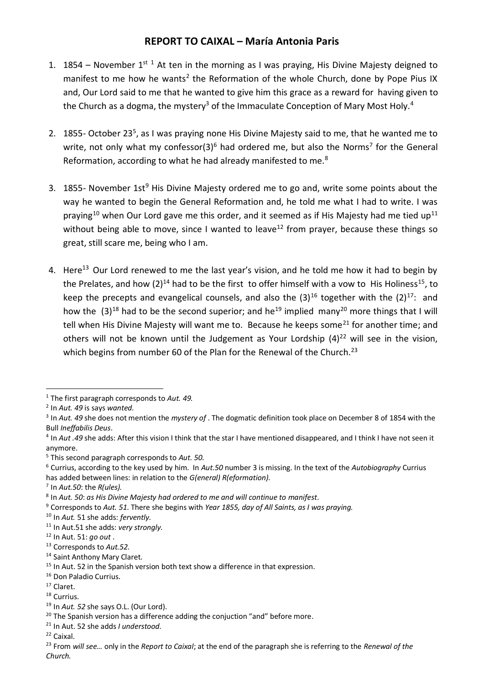## **REPORT TO CAIXAL – María Antonia Paris**

- 1. 1854 November 1st <sup>1</sup> At ten in the morning as I was praying, His Divine Majesty deigned to manifest to me how he wants<sup>2</sup> the Reformation of the whole Church, done by Pope Pius IX and, Our Lord said to me that he wanted to give him this grace as a reward for having given to the Church as a dogma, the mystery<sup>3</sup> of the Immaculate Conception of Mary Most Holy.<sup>4</sup>
- 2. 1855- October 23<sup>5</sup>, as I was praying none His Divine Majesty said to me, that he wanted me to write, not only what my confessor(3)<sup>6</sup> had ordered me, but also the Norms<sup>7</sup> for the General Reformation, according to what he had already manifested to me. $8$
- 3. 1855- November 1st<sup>9</sup> His Divine Majesty ordered me to go and, write some points about the way he wanted to begin the General Reformation and, he told me what I had to write. I was praying<sup>10</sup> when Our Lord gave me this order, and it seemed as if His Majesty had me tied up<sup>11</sup> without being able to move, since I wanted to leave<sup>12</sup> from prayer, because these things so great, still scare me, being who I am.
- 4. Here<sup>13</sup> Our Lord renewed to me the last year's vision, and he told me how it had to begin by the Prelates, and how  $(2)^{14}$  had to be the first to offer himself with a vow to His Holiness<sup>15</sup>, to keep the precepts and evangelical counsels, and also the  $(3)^{16}$  together with the  $(2)^{17}$ : and how the  $(3)^{18}$  had to be the second superior; and he<sup>19</sup> implied many<sup>20</sup> more things that I will tell when His Divine Majesty will want me to. Because he keeps some<sup>21</sup> for another time; and others will not be known until the Judgement as Your Lordship  $(4)^{22}$  will see in the vision, which begins from number 60 of the Plan for the Renewal of the Church.<sup>23</sup>

<sup>21</sup> In Aut. 52 she adds *I understood.*

**<sup>.</sup>** <sup>1</sup> The first paragraph corresponds to *Aut. 49.*

<sup>2</sup> In *Aut. 49* is says *wanted.*

<sup>3</sup> In *Aut. 49* she does not mention the *mystery of* . The dogmatic definition took place on December 8 of 1854 with the Bull *Ineffabilis Deus*.

<sup>4</sup> In *Aut .49* she adds: After this vision I think that the star I have mentioned disappeared, and I think I have not seen it anymore.

<sup>5</sup> This second paragraph corresponds to *Aut. 50.*

<sup>6</sup> Currius, according to the key used by him. In *Aut.50* number 3 is missing. In the text of the *Autobiography* Currius has added between lines: in relation to the *G(eneral) R(eformation).*

<sup>7</sup> In *Aut.50*: the *R(ules).*

<sup>8</sup> In *Aut. 50*: *as His Divine Majesty had ordered to me and will continue to manifest*.

<sup>9</sup> Corresponds to *Aut. 51*. There she begins with *Year 1855, day of All Saints, as I was praying.*

<sup>10</sup> In *Aut.* 51 she adds: *fervently.*

<sup>11</sup> In Aut.51 she adds: *very strongly.*

<sup>12</sup> In Aut. 51: *go out* .

<sup>13</sup> Corresponds to *Aut.52.*

<sup>14</sup> Saint Anthony Mary Claret.

 $15$  In Aut. 52 in the Spanish version both text show a difference in that expression.

<sup>16</sup> Don Paladio Currius.

<sup>17</sup> Claret.

<sup>&</sup>lt;sup>18</sup> Currius.

<sup>19</sup> In *Aut. 52* she says O.L. (Our Lord).

 $20$  The Spanish version has a difference adding the conjuction "and" before more.

<sup>22</sup> Caixal.

<sup>23</sup> From *will see…* only in the *Report to Caixal*; at the end of the paragraph she is referring to the *Renewal of the Church.*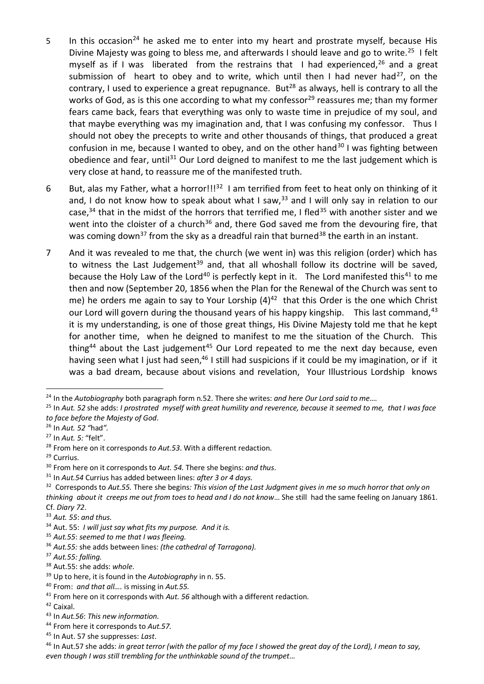- 5 In this occasion<sup>24</sup> he asked me to enter into my heart and prostrate myself, because His Divine Majesty was going to bless me, and afterwards I should leave and go to write.<sup>25</sup> I felt myself as if I was liberated from the restrains that I had experienced,  $26$  and a great submission of heart to obey and to write, which until then I had never had<sup>27</sup>, on the contrary, I used to experience a great repugnance. But<sup>28</sup> as always, hell is contrary to all the works of God, as is this one according to what my confessor<sup>29</sup> reassures me; than my former fears came back, fears that everything was only to waste time in prejudice of my soul, and that maybe everything was my imagination and, that I was confusing my confessor. Thus I should not obey the precepts to write and other thousands of things, that produced a great confusion in me, because I wanted to obey, and on the other hand<sup>30</sup> I was fighting between obedience and fear, until<sup>31</sup> Our Lord deigned to manifest to me the last judgement which is very close at hand, to reassure me of the manifested truth.
- 6 But, alas my Father, what a horror!!!<sup>32</sup> I am terrified from feet to heat only on thinking of it and, I do not know how to speak about what I saw,  $33$  and I will only say in relation to our case,<sup>34</sup> that in the midst of the horrors that terrified me, I fled<sup>35</sup> with another sister and we went into the cloister of a church<sup>36</sup> and, there God saved me from the devouring fire, that was coming down<sup>37</sup> from the sky as a dreadful rain that burned<sup>38</sup> the earth in an instant.
- 7 And it was revealed to me that, the church (we went in) was this religion (order) which has to witness the Last Judgement<sup>39</sup> and, that all whoshall follow its doctrine will be saved, because the Holy Law of the Lord<sup>40</sup> is perfectly kept in it. The Lord manifested this<sup>41</sup> to me then and now (September 20, 1856 when the Plan for the Renewal of the Church was sent to me) he orders me again to say to Your Lorship  $(4)^{42}$  that this Order is the one which Christ our Lord will govern during the thousand years of his happy kingship. This last command,  $43$ it is my understanding, is one of those great things, His Divine Majesty told me that he kept for another time, when he deigned to manifest to me the situation of the Church. This thing<sup>44</sup> about the Last judgement<sup>45</sup> Our Lord repeated to me the next day because, even having seen what I just had seen,<sup>46</sup> I still had suspicions if it could be my imagination, or if it was a bad dream, because about visions and revelation, Your Illustrious Lordship knows

**.** 

<sup>24</sup> In the *Autobiography* both paragraph form n.52. There she writes: *and here Our Lord said to me….*

<sup>25</sup> In *Aut. 52* she adds: *I prostrated myself with great humility and reverence, because it seemed to me, that I was face to face before the Majesty of God*.

<sup>26</sup> In *Aut. 52 "*had*".*

<sup>27</sup> In *Aut. 5:* "felt".

<sup>28</sup> From here on it corresponds *to Aut.53*. With a different redaction.

<sup>29</sup> Currius.

<sup>30</sup> From here on it corresponds to *Aut. 54.* There she begins: *and thus*.

<sup>31</sup> In *Aut.54* Currius has added between lines: *after 3 or 4 days*.

<sup>32</sup> Corresponds to *Aut.55.* There she begins*: This vision of the Last Judgment gives in me so much horror that only on thinking about it creeps me out from toes to head and I do not know*… She still had the same feeling on January 1861. Cf. *Diary 72*.

<sup>33</sup> *Aut. 55*: *and thus.*

<sup>34</sup> Aut. 55: *I will just say what fits my purpose. And it is.*

<sup>35</sup> *Aut.55*: *seemed to me that I was fleeing.*

<sup>36</sup> *Aut.55:* she adds between lines: *(the cathedral of Tarragona).*

<sup>37</sup> *Aut.55: falling.* 

<sup>38</sup> Aut.55: she adds: *whole*.

<sup>39</sup> Up to here, it is found in the *Autobiography* in n. 55.

<sup>40</sup> From: *and that all….* is missing in *Aut.55.*

<sup>41</sup> From here on it corresponds with *Aut. 56* although with a different redaction.

<sup>42</sup> Caixal.

<sup>43</sup> In *Aut.56*: *This new information.*

<sup>44</sup> From here it corresponds to *Aut.57.*

<sup>45</sup> In Aut. 57 she suppresses: *Last*.

<sup>46</sup> In Aut.57 she adds: *in great terror (with the pallor of my face I showed the great day of the Lord), I mean to say, even though I was still trembling for the unthinkable sound of the trumpet…*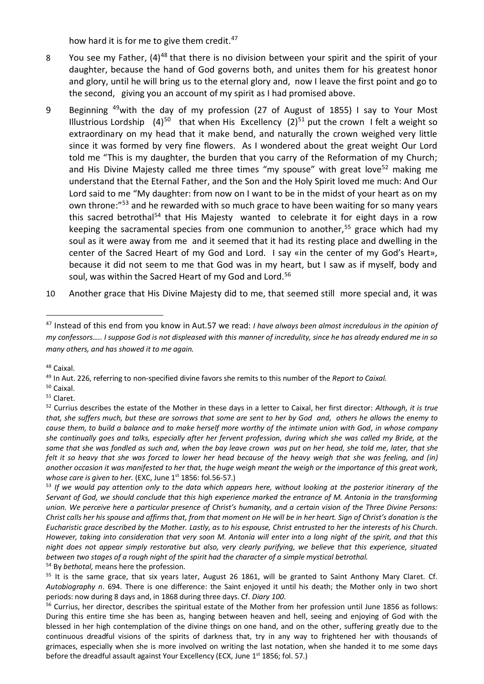how hard it is for me to give them credit.<sup>47</sup>

- 8 You see my Father, (4)<sup>48</sup> that there is no division between your spirit and the spirit of your daughter, because the hand of God governs both, and unites them for his greatest honor and glory, until he will bring us to the eternal glory and, now I leave the first point and go to the second, giving you an account of my spirit as I had promised above.
- 9 Beginning <sup>49</sup>with the day of my profession (27 of August of 1855) I say to Your Most Illustrious Lordship  $(4)^{50}$  that when His Excellency  $(2)^{51}$  put the crown I felt a weight so extraordinary on my head that it make bend, and naturally the crown weighed very little since it was formed by very fine flowers. As I wondered about the great weight Our Lord told me "This is my daughter, the burden that you carry of the Reformation of my Church; and His Divine Majesty called me three times "my spouse" with great love<sup>52</sup> making me understand that the Eternal Father, and the Son and the Holy Spirit loved me much: And Our Lord said to me "My daughter: from now on I want to be in the midst of your heart as on my own throne:<sup>"53</sup> and he rewarded with so much grace to have been waiting for so many years this sacred betrothal<sup>54</sup> that His Majesty wanted to celebrate it for eight days in a row keeping the sacramental species from one communion to another,<sup>55</sup> grace which had my soul as it were away from me and it seemed that it had its resting place and dwelling in the center of the Sacred Heart of my God and Lord. I say «in the center of my God's Heart», because it did not seem to me that God was in my heart, but I saw as if myself, body and soul, was within the Sacred Heart of my God and Lord.<sup>56</sup>
- 10 Another grace that His Divine Majesty did to me, that seemed still more special and, it was

1

<sup>50</sup> Caixal.

<sup>47</sup> Instead of this end from you know in Aut.57 we read: *I have always been almost incredulous in the opinion of my confessors….. I suppose God is not displeased with this manner of incredulity, since he has already endured me in so many others, and has showed it to me again.*

<sup>48</sup> Caixal.

<sup>49</sup> In Aut. 226, referring to non-specified divine favors she remits to this number of the *Report to Caixal.* 

<sup>51</sup> Claret.

<sup>52</sup> Currius describes the estate of the Mother in these days in a letter to Caixal, her first director: *Although, it is true that, she suffers much, but these are sorrows that some are sent to her by God and, others he allows the enemy to cause them, to build a balance and to make herself more worthy of the intimate union with God, in whose company she continually goes and talks, especially after her fervent profession, during which she was called my Bride, at the same that she was fondled as such and, when the bay leave crown was put on her head, she told me, later, that she felt it so heavy that she was forced to lower her head because of the heavy weigh that she was feeling, and (in) another occasion it was manifested to her that, the huge weigh meant the weigh or the importance of this great work, whose care is given to her.* (EXC, June 1<sup>st</sup> 1856: fol.56-57.)

<sup>53</sup> *If we would pay attention only to the data which appears here, without looking at the posterior itinerary of the Servant of God, we should conclude that this high experience marked the entrance of M. Antonia in the transforming union. We perceive here a particular presence of Christ's humanity, and a certain vision of the Three Divine Persons: Christ calls her his spouse and affirms that, from that moment on He will be in her heart. Sign of Christ's donation is the Eucharistic grace described by the Mother. Lastly, as to his espouse, Christ entrusted to her the interests of his Church. However, taking into consideration that very soon M. Antonia will enter into a long night of the spirit, and that this night does not appear simply restorative but also, very clearly purifying, we believe that this experience, situated between two stages of a rough night of the spirit had the character of a simple mystical betrothal.* 

<sup>54</sup> By *bethotal,* means here the profession.

 $55$  It is the same grace, that six years later, August 26 1861, will be granted to Saint Anthony Mary Claret. Cf. *Autobiography n*. 694. There is one difference: the Saint enjoyed it until his death; the Mother only in two short periods: now during 8 days and, in 1868 during three days. Cf. *Diary 100*.

<sup>&</sup>lt;sup>56</sup> Currius, her director, describes the spiritual estate of the Mother from her profession until June 1856 as follows: During this entire time she has been as, hanging between heaven and hell, seeing and enjoying of God with the blessed in her high contemplation of the divine things on one hand, and on the other, suffering greatly due to the continuous dreadful visions of the spirits of darkness that, try in any way to frightened her with thousands of grimaces, especially when she is more involved on writing the last notation, when she handed it to me some days before the dreadful assault against Your Excellency (ECX, June  $1<sup>st</sup> 1856$ ; fol. 57.)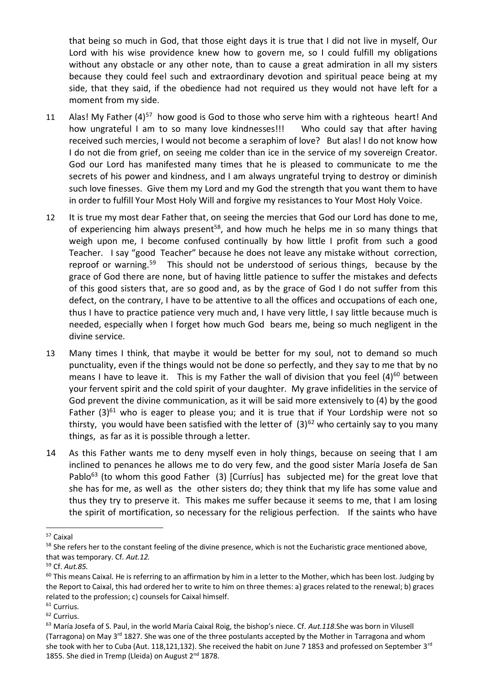that being so much in God, that those eight days it is true that I did not live in myself, Our Lord with his wise providence knew how to govern me, so I could fulfill my obligations without any obstacle or any other note, than to cause a great admiration in all my sisters because they could feel such and extraordinary devotion and spiritual peace being at my side, that they said, if the obedience had not required us they would not have left for a moment from my side.

- 11 Alas! My Father  $(4)^{57}$  how good is God to those who serve him with a righteous heart! And how ungrateful I am to so many love kindnesses!!! Who could say that after having received such mercies, I would not become a seraphim of love? But alas! I do not know how I do not die from grief, on seeing me colder than ice in the service of my sovereign Creator. God our Lord has manifested many times that he is pleased to communicate to me the secrets of his power and kindness, and I am always ungrateful trying to destroy or diminish such love finesses. Give them my Lord and my God the strength that you want them to have in order to fulfill Your Most Holy Will and forgive my resistances to Your Most Holy Voice.
- 12 It is true my most dear Father that, on seeing the mercies that God our Lord has done to me, of experiencing him always present<sup>58</sup>, and how much he helps me in so many things that weigh upon me, I become confused continually by how little I profit from such a good Teacher. I say "good Teacher" because he does not leave any mistake without correction, reproof or warning.<sup>59</sup> This should not be understood of serious things, because by the grace of God there are none, but of having little patience to suffer the mistakes and defects of this good sisters that, are so good and, as by the grace of God I do not suffer from this defect, on the contrary, I have to be attentive to all the offices and occupations of each one, thus I have to practice patience very much and, I have very little, I say little because much is needed, especially when I forget how much God bears me, being so much negligent in the divine service.
- 13 Many times I think, that maybe it would be better for my soul, not to demand so much punctuality, even if the things would not be done so perfectly, and they say to me that by no means I have to leave it. This is my Father the wall of division that you feel  $(4)^{60}$  between your fervent spirit and the cold spirit of your daughter. My grave infidelities in the service of God prevent the divine communication, as it will be said more extensively to (4) by the good Father  $(3)^{61}$  who is eager to please you; and it is true that if Your Lordship were not so thirsty, you would have been satisfied with the letter of  $(3)^{62}$  who certainly say to you many things, as far as it is possible through a letter.
- 14 As this Father wants me to deny myself even in holy things, because on seeing that I am inclined to penances he allows me to do very few, and the good sister María Josefa de San Pablo<sup>63</sup> (to whom this good Father (3) [Curríus] has subjected me) for the great love that she has for me, as well as the other sisters do; they think that my life has some value and thus they try to preserve it. This makes me suffer because it seems to me, that I am losing the spirit of mortification, so necessary for the religious perfection. If the saints who have

**.** 

<sup>57</sup> Caixal

<sup>&</sup>lt;sup>58</sup> She refers her to the constant feeling of the divine presence, which is not the Eucharistic grace mentioned above, that was temporary. Cf*. Aut.12.*

<sup>59</sup> Cf. *Aut.85.*

 $60$  This means Caixal. He is referring to an affirmation by him in a letter to the Mother, which has been lost. Judging by the Report to Caixal, this had ordered her to write to him on three themes: a) graces related to the renewal; b) graces related to the profession; c) counsels for Caixal himself.

<sup>&</sup>lt;sup>61</sup> Currius.

<sup>62</sup> Currius.

<sup>63</sup> María Josefa of S. Paul, in the world María Caixal Roig, the bishop's niece. Cf. *Aut.118*.She was born in Vilusell (Tarragona) on May 3<sup>rd</sup> 1827. She was one of the three postulants accepted by the Mother in Tarragona and whom she took with her to Cuba (Aut. 118,121,132). She received the habit on June 7 1853 and professed on September 3<sup>rd</sup> 1855. She died in Tremp (Lleida) on August 2<sup>nd</sup> 1878.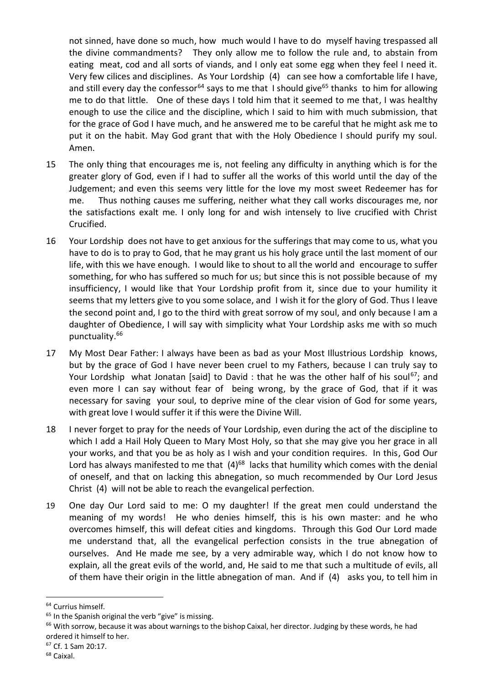not sinned, have done so much, how much would I have to do myself having trespassed all the divine commandments? They only allow me to follow the rule and, to abstain from eating meat, cod and all sorts of viands, and I only eat some egg when they feel I need it. Very few cilices and disciplines. As Your Lordship (4) can see how a comfortable life I have, and still every day the confessor<sup>64</sup> says to me that I should give<sup>65</sup> thanks to him for allowing me to do that little. One of these days I told him that it seemed to me that, I was healthy enough to use the cilice and the discipline, which I said to him with much submission, that for the grace of God I have much, and he answered me to be careful that he might ask me to put it on the habit. May God grant that with the Holy Obedience I should purify my soul. Amen.

- 15 The only thing that encourages me is, not feeling any difficulty in anything which is for the greater glory of God, even if I had to suffer all the works of this world until the day of the Judgement; and even this seems very little for the love my most sweet Redeemer has for me. Thus nothing causes me suffering, neither what they call works discourages me, nor the satisfactions exalt me. I only long for and wish intensely to live crucified with Christ Crucified.
- 16 Your Lordship does not have to get anxious for the sufferings that may come to us, what you have to do is to pray to God, that he may grant us his holy grace until the last moment of our life, with this we have enough. I would like to shout to all the world and encourage to suffer something, for who has suffered so much for us; but since this is not possible because of my insufficiency, I would like that Your Lordship profit from it, since due to your humility it seems that my letters give to you some solace, and I wish it for the glory of God. Thus I leave the second point and, I go to the third with great sorrow of my soul, and only because I am a daughter of Obedience, I will say with simplicity what Your Lordship asks me with so much punctuality.<sup>66</sup>

17 My Most Dear Father: I always have been as bad as your Most Illustrious Lordship knows, but by the grace of God I have never been cruel to my Fathers, because I can truly say to Your Lordship what Jonatan [said] to David : that he was the other half of his soul<sup>67</sup>; and even more I can say without fear of being wrong, by the grace of God, that if it was necessary for saving your soul, to deprive mine of the clear vision of God for some years, with great love I would suffer it if this were the Divine Will.

- 18 I never forget to pray for the needs of Your Lordship, even during the act of the discipline to which I add a Hail Holy Queen to Mary Most Holy, so that she may give you her grace in all your works, and that you be as holy as I wish and your condition requires. In this, God Our Lord has always manifested to me that  $(4)^{68}$  lacks that humility which comes with the denial of oneself, and that on lacking this abnegation, so much recommended by Our Lord Jesus Christ (4) will not be able to reach the evangelical perfection.
- 19 One day Our Lord said to me: O my daughter! If the great men could understand the meaning of my words! He who denies himself, this is his own master: and he who overcomes himself, this will defeat cities and kingdoms. Through this God Our Lord made me understand that, all the evangelical perfection consists in the true abnegation of ourselves. And He made me see, by a very admirable way, which I do not know how to explain, all the great evils of the world, and, He said to me that such a multitude of evils, all of them have their origin in the little abnegation of man. And if (4) asks you, to tell him in

<sup>67</sup> Cf. 1 Sam 20:17.

**<sup>.</sup>** <sup>64</sup> Currius himself.

 $65$  In the Spanish original the verb "give" is missing.

<sup>&</sup>lt;sup>66</sup> With sorrow, because it was about warnings to the bishop Caixal, her director. Judging by these words, he had ordered it himself to her.

<sup>68</sup> Caixal.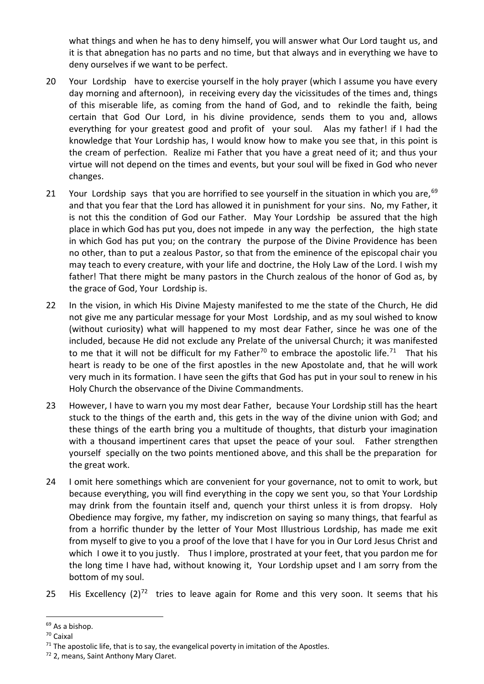what things and when he has to deny himself, you will answer what Our Lord taught us, and it is that abnegation has no parts and no time, but that always and in everything we have to deny ourselves if we want to be perfect.

- 20 Your Lordship have to exercise yourself in the holy prayer (which I assume you have every day morning and afternoon), in receiving every day the vicissitudes of the times and, things of this miserable life, as coming from the hand of God, and to rekindle the faith, being certain that God Our Lord, in his divine providence, sends them to you and, allows everything for your greatest good and profit of your soul. Alas my father! if I had the knowledge that Your Lordship has, I would know how to make you see that, in this point is the cream of perfection. Realize mi Father that you have a great need of it; and thus your virtue will not depend on the times and events, but your soul will be fixed in God who never changes.
- 21 Your Lordship says that you are horrified to see yourself in the situation in which you are,  $69$ and that you fear that the Lord has allowed it in punishment for your sins. No, my Father, it is not this the condition of God our Father. May Your Lordship be assured that the high place in which God has put you, does not impede in any way the perfection, the high state in which God has put you; on the contrary the purpose of the Divine Providence has been no other, than to put a zealous Pastor, so that from the eminence of the episcopal chair you may teach to every creature, with your life and doctrine, the Holy Law of the Lord. I wish my father! That there might be many pastors in the Church zealous of the honor of God as, by the grace of God, Your Lordship is.
- 22 In the vision, in which His Divine Majesty manifested to me the state of the Church, He did not give me any particular message for your Most Lordship, and as my soul wished to know (without curiosity) what will happened to my most dear Father, since he was one of the included, because He did not exclude any Prelate of the universal Church; it was manifested to me that it will not be difficult for my Father<sup>70</sup> to embrace the apostolic life.<sup>71</sup> That his heart is ready to be one of the first apostles in the new Apostolate and, that he will work very much in its formation. I have seen the gifts that God has put in your soul to renew in his Holy Church the observance of the Divine Commandments.
- 23 However, I have to warn you my most dear Father, because Your Lordship still has the heart stuck to the things of the earth and, this gets in the way of the divine union with God; and these things of the earth bring you a multitude of thoughts, that disturb your imagination with a thousand impertinent cares that upset the peace of your soul. Father strengthen yourself specially on the two points mentioned above, and this shall be the preparation for the great work.
- 24 I omit here somethings which are convenient for your governance, not to omit to work, but because everything, you will find everything in the copy we sent you, so that Your Lordship may drink from the fountain itself and, quench your thirst unless it is from dropsy. Holy Obedience may forgive, my father, my indiscretion on saying so many things, that fearful as from a horrific thunder by the letter of Your Most Illustrious Lordship, has made me exit from myself to give to you a proof of the love that I have for you in Our Lord Jesus Christ and which I owe it to you justly. Thus I implore, prostrated at your feet, that you pardon me for the long time I have had, without knowing it, Your Lordship upset and I am sorry from the bottom of my soul.
- 25 His Excellency  $(2)^{72}$  tries to leave again for Rome and this very soon. It seems that his

-

<sup>69</sup> As a bishop.

<sup>70</sup> Caixal

 $71$  The apostolic life, that is to say, the evangelical poverty in imitation of the Apostles.

<sup>72</sup> 2, means, Saint Anthony Mary Claret.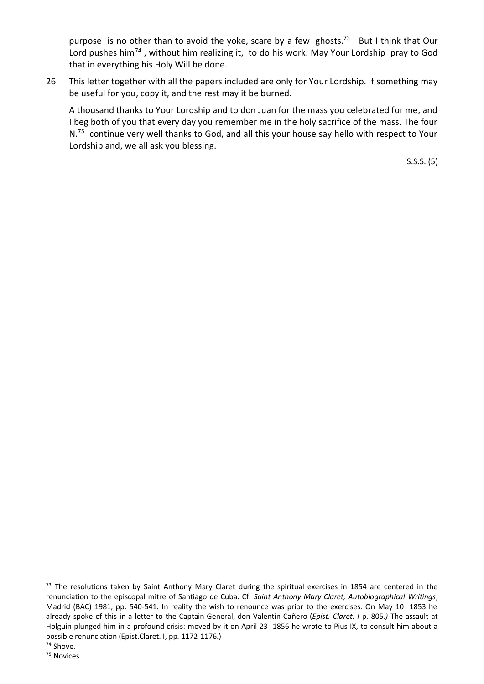purpose is no other than to avoid the yoke, scare by a few ghosts.<sup>73</sup> But I think that Our Lord pushes him<sup>74</sup>, without him realizing it, to do his work. May Your Lordship pray to God that in everything his Holy Will be done.

26 This letter together with all the papers included are only for Your Lordship. If something may be useful for you, copy it, and the rest may it be burned.

A thousand thanks to Your Lordship and to don Juan for the mass you celebrated for me, and I beg both of you that every day you remember me in the holy sacrifice of the mass. The four N.<sup>75</sup> continue very well thanks to God, and all this your house say hello with respect to Your Lordship and, we all ask you blessing.

S.S.S. (5)

-

<sup>&</sup>lt;sup>73</sup> The resolutions taken by Saint Anthony Mary Claret during the spiritual exercises in 1854 are centered in the renunciation to the episcopal mitre of Santiago de Cuba. Cf. *Saint Anthony Mary Claret, Autobiographical Writings*, Madrid (BAC) 1981, pp. 540-541. In reality the wish to renounce was prior to the exercises. On May 10 1853 he already spoke of this in a letter to the Captain General, don Valentin Cañero (*Epist. Claret. I* p. 805*.)* The assault at Holguin plunged him in a profound crisis: moved by it on April 23 1856 he wrote to Pius IX, to consult him about a possible renunciation (Epist.Claret. I, pp. 1172-1176.)  $74$  Shove.